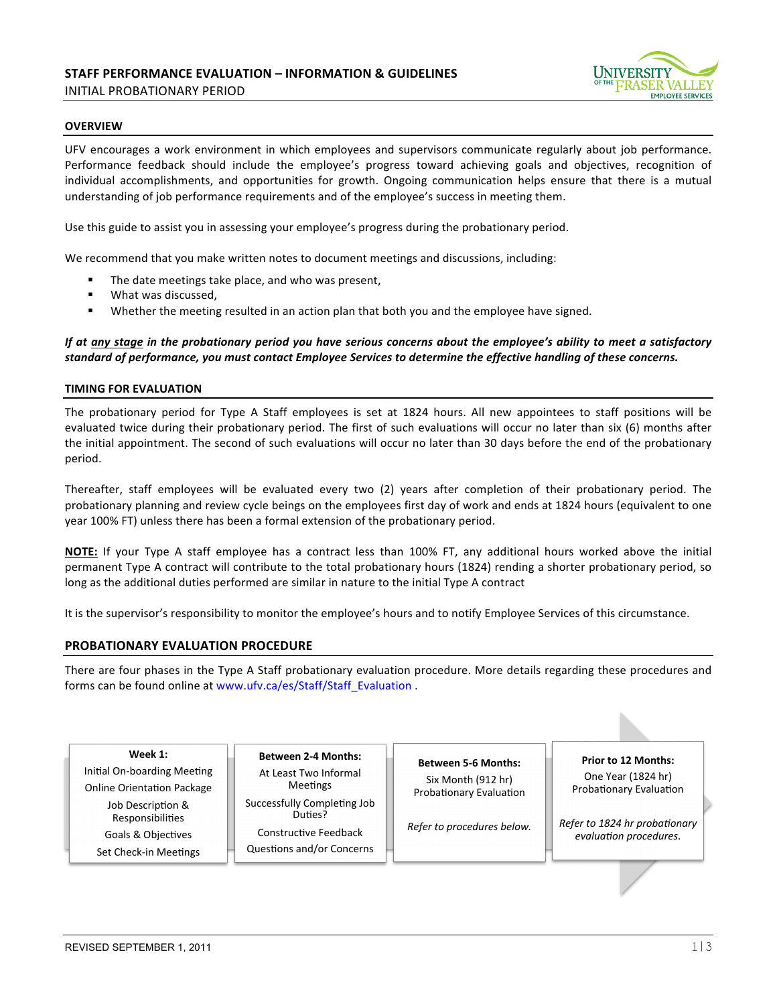

### **OVERVIEW**

UFV encourages a work environment in which employees and supervisors communicate regularly about job performance. Performance feedback should include the employee's progress toward achieving goals and objectives, recognition of individual accomplishments, and opportunities for growth. Ongoing communication helps ensure that there is a mutual understanding of job performance requirements and of the employee's success in meeting them.

Use this guide to assist you in assessing your employee's progress during the probationary period.

We recommend that you make written notes to document meetings and discussions, including:

- " The date meetings take place, and who was present,
- What was discussed,
- "Whether the meeting resulted in an action plan that both you and the employee have signed.

## If at any stage in the probationary period you have serious concerns about the employee's ability to meet a satisfactory standard of performance, you must contact Employee Services to determine the effective handling of these concerns.

### **TIMING FOR EVALUATION**

The probationary period for Type A Staff employees is set at 1824 hours. All new appointees to staff positions will be evaluated twice during their probationary period. The first of such evaluations will occur no later than six (6) months after the initial appointment. The second of such evaluations will occur no later than 30 days before the end of the probationary period.

Thereafter, staff employees will be evaluated every two (2) years after completion of their probationary period. The probationary planning and review cycle beings on the employees first day of work and ends at 1824 hours (equivalent to one year 100% FT) unless there has been a formal extension of the probationary period.

**NOTE:** If your Type A staff employee has a contract less than 100% FT, any additional hours worked above the initial permanent Type A contract will contribute to the total probationary hours (1824) rending a shorter probationary period, so long as the additional duties performed are similar in nature to the initial Type A contract

It is the supervisor's responsibility to monitor the employee's hours and to notify Employee Services of this circumstance.

# **PROBATIONARY EVALUATION PROCEDURE**

There are four phases in the Type A Staff probationary evaluation procedure. More details regarding these procedures and forms can be found online at www.ufv.ca/es/Staff/Staff Evaluation .

 $\overline{\phantom{a}}$ 

**Week 1:** Initial On-boarding Meeting Online Orientation Package

Job Description & Responsibilities Goals & Objectives

Set Check-in Meetings

**Between 2-4 Months:** At Least Two Informal Meetings Successfully Completing Job Duties?

Constructive Feedback Questions and/or Concerns

**Between 5-6 Months:** Six Month (912 hr) Probationary Evaluation

*Refer to procedures below.* 

**Prior to 12 Months:** One Year (1824 hr) Probationary Evaluation

*Refer to 1824 hr probationary*  $e$ valuation procedures.

 $\overline{\phantom{a}}$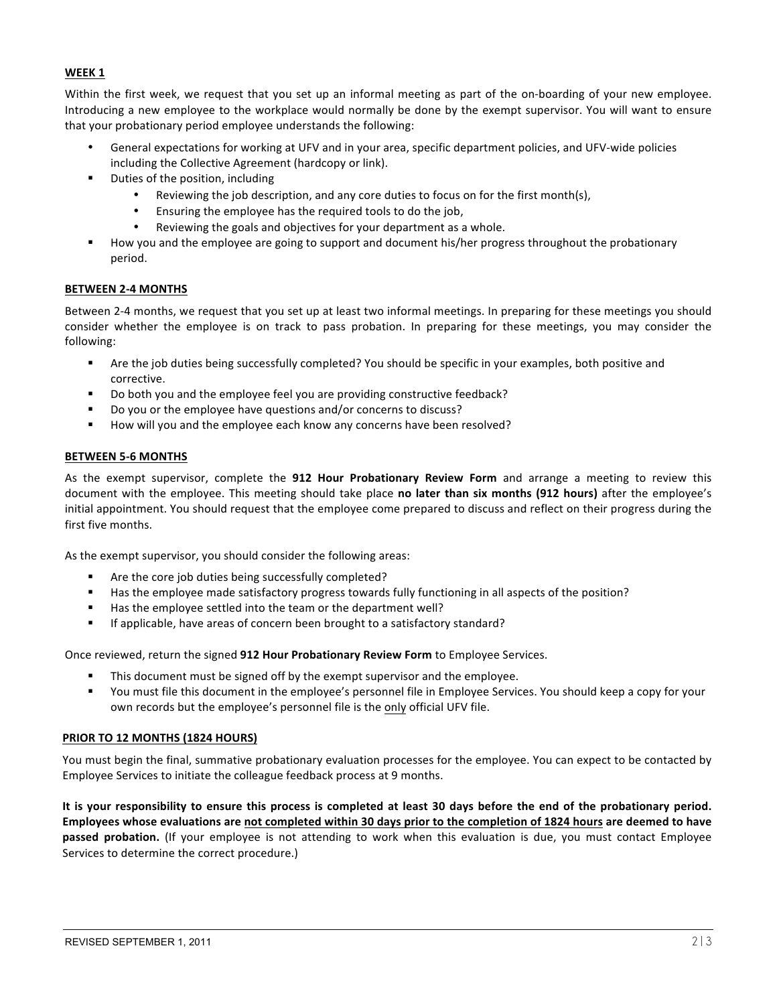# **WEEK 1**

Within the first week, we request that you set up an informal meeting as part of the on-boarding of your new employee. Introducing a new employee to the workplace would normally be done by the exempt supervisor. You will want to ensure that your probationary period employee understands the following:

- General expectations for working at UFV and in your area, specific department policies, and UFV-wide policies including the Collective Agreement (hardcopy or link).
- " Duties of the position, including
	- Reviewing the job description, and any core duties to focus on for the first month(s),
	- Ensuring the employee has the required tools to do the job,
	- Reviewing the goals and objectives for your department as a whole.
- " How you and the employee are going to support and document his/her progress throughout the probationary period.

# **BETWEEN 2-4 MONTHS**

Between 2-4 months, we request that you set up at least two informal meetings. In preparing for these meetings you should consider whether the employee is on track to pass probation. In preparing for these meetings, you may consider the following:

- " Are the job duties being successfully completed? You should be specific in your examples, both positive and corrective.
- " Do both you and the employee feel you are providing constructive feedback?
- Do you or the employee have questions and/or concerns to discuss?
- How will you and the employee each know any concerns have been resolved?

### **BETWEEN 5-6 MONTHS**

As the exempt supervisor, complete the **912 Hour Probationary Review Form** and arrange a meeting to review this document with the employee. This meeting should take place no later than six months (912 hours) after the employee's initial appointment. You should request that the employee come prepared to discuss and reflect on their progress during the first five months.

As the exempt supervisor, you should consider the following areas:

- Are the core job duties being successfully completed?
- " Has the employee made satisfactory progress towards fully functioning in all aspects of the position?
- " Has the employee settled into the team or the department well?
- **If** applicable, have areas of concern been brought to a satisfactory standard?

Once reviewed, return the signed 912 Hour Probationary Review Form to Employee Services.

- " This document must be signed off by the exempt supervisor and the employee.
- You must file this document in the employee's personnel file in Employee Services. You should keep a copy for your own records but the employee's personnel file is the only official UFV file.

# **PRIOR%TO%12%MONTHS%(1824%HOURS)**

You must begin the final, summative probationary evaluation processes for the employee. You can expect to be contacted by Employee Services to initiate the colleague feedback process at 9 months.

It is your responsibility to ensure this process is completed at least 30 days before the end of the probationary period. Employees whose evaluations are not completed within 30 days prior to the completion of 1824 hours are deemed to have passed probation. (If your employee is not attending to work when this evaluation is due, you must contact Employee Services to determine the correct procedure.)